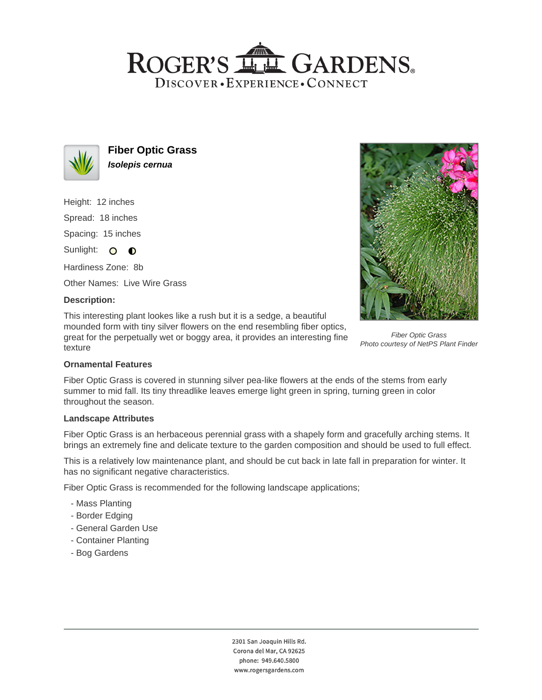## ROGER'S LL GARDENS. DISCOVER · EXPERIENCE · CONNECT



**Fiber Optic Grass Isolepis cernua**

Height: 12 inches Spread: 18 inches

Spacing: 15 inches

Sunlight: O **O** 

Hardiness Zone: 8b

Other Names: Live Wire Grass

## **Description:**

This interesting plant lookes like a rush but it is a sedge, a beautiful mounded form with tiny silver flowers on the end resembling fiber optics, great for the perpetually wet or boggy area, it provides an interesting fine texture



Fiber Optic Grass Photo courtesy of NetPS Plant Finder

## **Ornamental Features**

Fiber Optic Grass is covered in stunning silver pea-like flowers at the ends of the stems from early summer to mid fall. Its tiny threadlike leaves emerge light green in spring, turning green in color throughout the season.

#### **Landscape Attributes**

Fiber Optic Grass is an herbaceous perennial grass with a shapely form and gracefully arching stems. It brings an extremely fine and delicate texture to the garden composition and should be used to full effect.

This is a relatively low maintenance plant, and should be cut back in late fall in preparation for winter. It has no significant negative characteristics.

Fiber Optic Grass is recommended for the following landscape applications;

- Mass Planting
- Border Edging
- General Garden Use
- Container Planting
- Bog Gardens